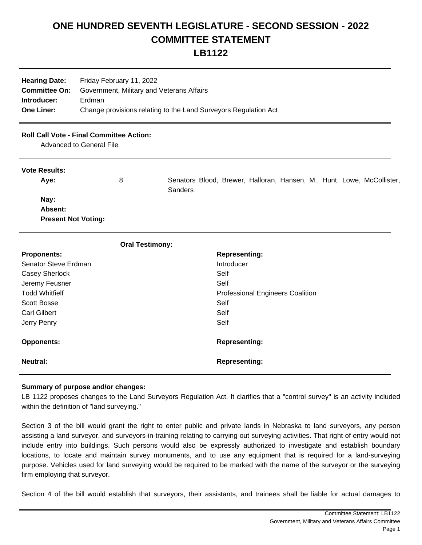## **ONE HUNDRED SEVENTH LEGISLATURE - SECOND SESSION - 2022 COMMITTEE STATEMENT**

**LB1122**

| Friday February 11, 2022<br><b>Hearing Date:</b><br><b>Committee On:</b><br>Government, Military and Veterans Affairs<br>Introducer:<br>Erdman<br><b>One Liner:</b><br>Change provisions relating to the Land Surveyors Regulation Act |                                                                                    |                                                                                          |
|----------------------------------------------------------------------------------------------------------------------------------------------------------------------------------------------------------------------------------------|------------------------------------------------------------------------------------|------------------------------------------------------------------------------------------|
|                                                                                                                                                                                                                                        | <b>Roll Call Vote - Final Committee Action:</b><br><b>Advanced to General File</b> |                                                                                          |
| <b>Vote Results:</b><br>Aye:                                                                                                                                                                                                           | 8                                                                                  | Senators Blood, Brewer, Halloran, Hansen, M., Hunt, Lowe, McCollister,<br><b>Sanders</b> |
| Nay:<br>Absent:<br><b>Present Not Voting:</b>                                                                                                                                                                                          |                                                                                    |                                                                                          |
|                                                                                                                                                                                                                                        | <b>Oral Testimony:</b>                                                             |                                                                                          |
| <b>Proponents:</b>                                                                                                                                                                                                                     |                                                                                    | <b>Representing:</b>                                                                     |
| Senator Steve Erdman                                                                                                                                                                                                                   |                                                                                    | Introducer                                                                               |
| Casey Sherlock                                                                                                                                                                                                                         |                                                                                    | Self                                                                                     |
| Jeremy Feusner                                                                                                                                                                                                                         |                                                                                    | Self                                                                                     |
| <b>Todd Whitfielf</b>                                                                                                                                                                                                                  |                                                                                    | <b>Professional Engineers Coalition</b>                                                  |
| <b>Scott Bosse</b>                                                                                                                                                                                                                     |                                                                                    | Self                                                                                     |
| <b>Carl Gilbert</b>                                                                                                                                                                                                                    |                                                                                    | Self                                                                                     |
| Jerry Penry                                                                                                                                                                                                                            |                                                                                    | Self                                                                                     |
| <b>Opponents:</b>                                                                                                                                                                                                                      |                                                                                    | <b>Representing:</b>                                                                     |
| <b>Neutral:</b>                                                                                                                                                                                                                        |                                                                                    | <b>Representing:</b>                                                                     |

## **Summary of purpose and/or changes:**

LB 1122 proposes changes to the Land Surveyors Regulation Act. It clarifies that a "control survey" is an activity included within the definition of "land surveying."

Section 3 of the bill would grant the right to enter public and private lands in Nebraska to land surveyors, any person assisting a land surveyor, and surveyors-in-training relating to carrying out surveying activities. That right of entry would not include entry into buildings. Such persons would also be expressly authorized to investigate and establish boundary locations, to locate and maintain survey monuments, and to use any equipment that is required for a land-surveying purpose. Vehicles used for land surveying would be required to be marked with the name of the surveyor or the surveying firm employing that surveyor.

Section 4 of the bill would establish that surveyors, their assistants, and trainees shall be liable for actual damages to